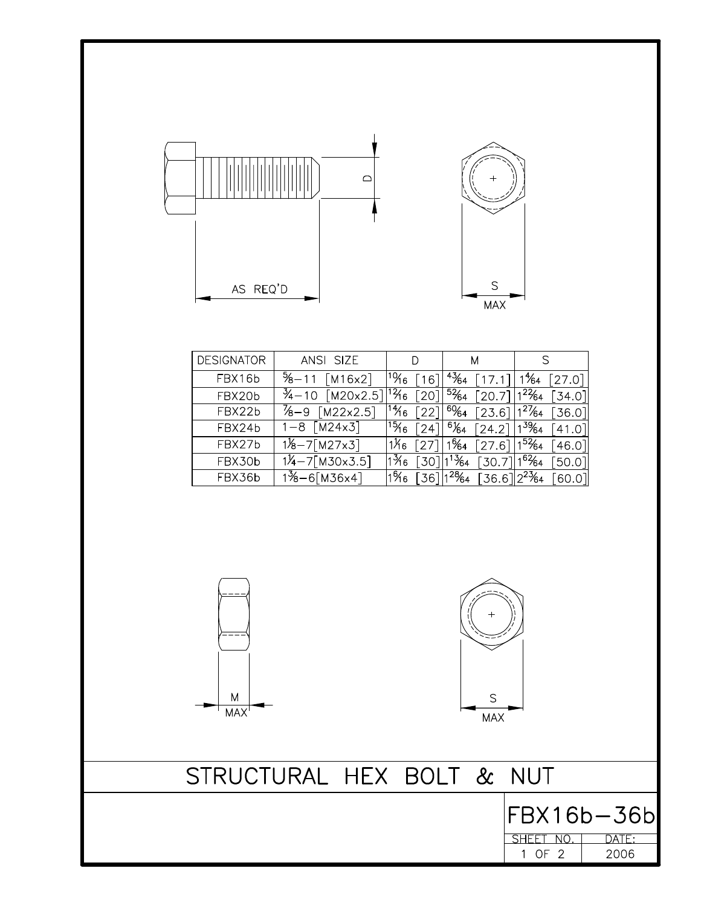



| <b>DESIGNATOR</b> | ANSI SIZE                                                                                                                           | D | M |                                                                                          |
|-------------------|-------------------------------------------------------------------------------------------------------------------------------------|---|---|------------------------------------------------------------------------------------------|
| FBX16b            | $\frac{5}{8} - 11$ [M16x2]                                                                                                          |   |   | <sup> 10</sup> ⁄16 [16]  <sup>43</sup> ⁄64 [17.1] 1 <sup>4</sup> ⁄64 [27.0]              |
| FBX20b            | $\frac{3}{4}$ -10 [M20x2.5] <sup>12</sup> <sup>46</sup> [20] <sup>52</sup> <sup>64</sup> [20.7] <sup>122</sup> <sup>64</sup> [34.0] |   |   |                                                                                          |
| FBX22b            | <sup>7</sup> ⁄8−9 [M22x2.5]                                                                                                         |   |   | <sup> 1</sup> 46 [22]  <sup>60</sup> 64 [23.6] 1 <sup>27</sup> 64 [36.0]                 |
| FBX24b            | $1 - 8$ $\sqrt{M24 \times 3}$                                                                                                       |   |   | $ {}^{15}\!\!\hat{ }$ 16 $[24] $ ${}^{6}\!\!\%$ 4 $[24.2] $ $ {}^{39}\!\!\%$ 4 $[41.0] $ |
| FBX27b            | $1\frac{1}{8} - 7$ [M27x3]                                                                                                          |   |   | <sup> </sup> 1¼6 [27] 1%4 [27.6] 1 <sup>52</sup> ⁄64 [46.0]                              |
| FBX30b            | $1\frac{1}{4} - 7$ [M30x3.5]                                                                                                        |   |   | $ 1\frac{3}{6} $ $ 30 $ $ 1\frac{3}{64} $ $ 30.7 $ $ 1\frac{6}{64} $ $ 50.0 $            |
| FBX36b            | $1\frac{3}{8} - 6$ [M36x4]                                                                                                          |   |   | 1 <sup>6</sup> 46 [36] 1 <sup>28</sup> 64 [36.6] 2 <sup>23</sup> 64 [60.0]               |